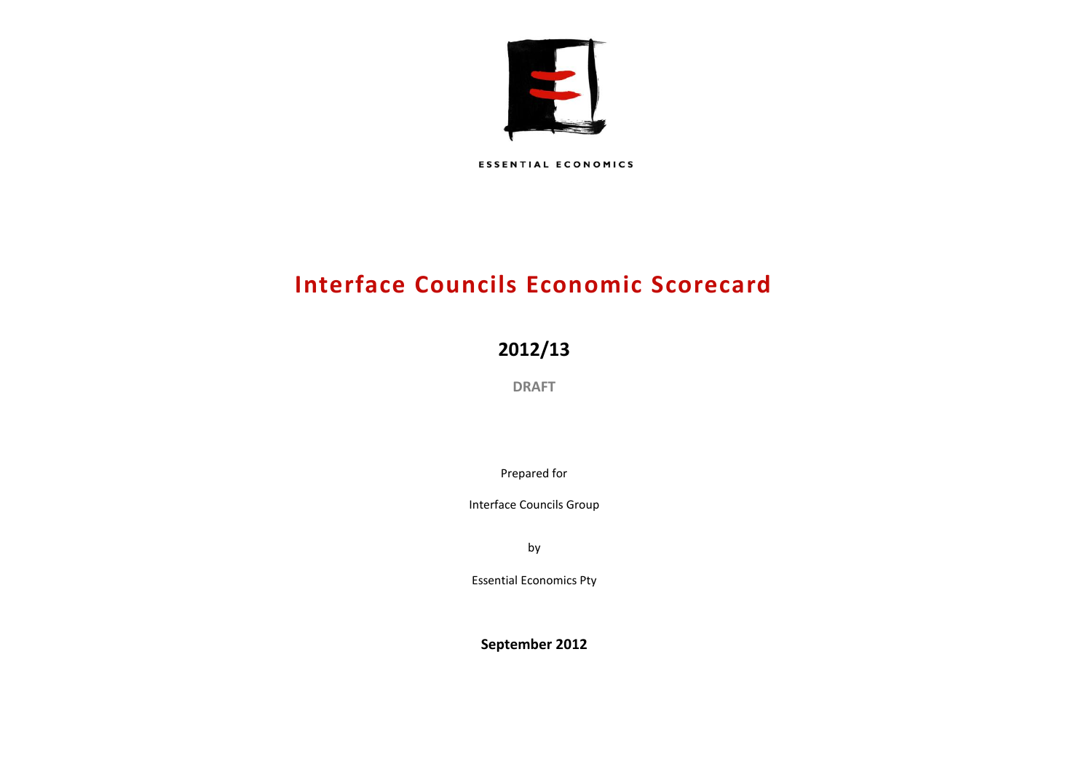

**ESSENTIAL ECONOMICS** 

# **Interface Councils Economic Scorecard**

# **2012/13**

**DRAFT**

Prepared for

Interface Councils Group

by

Essential Economics Pty

**September 2012**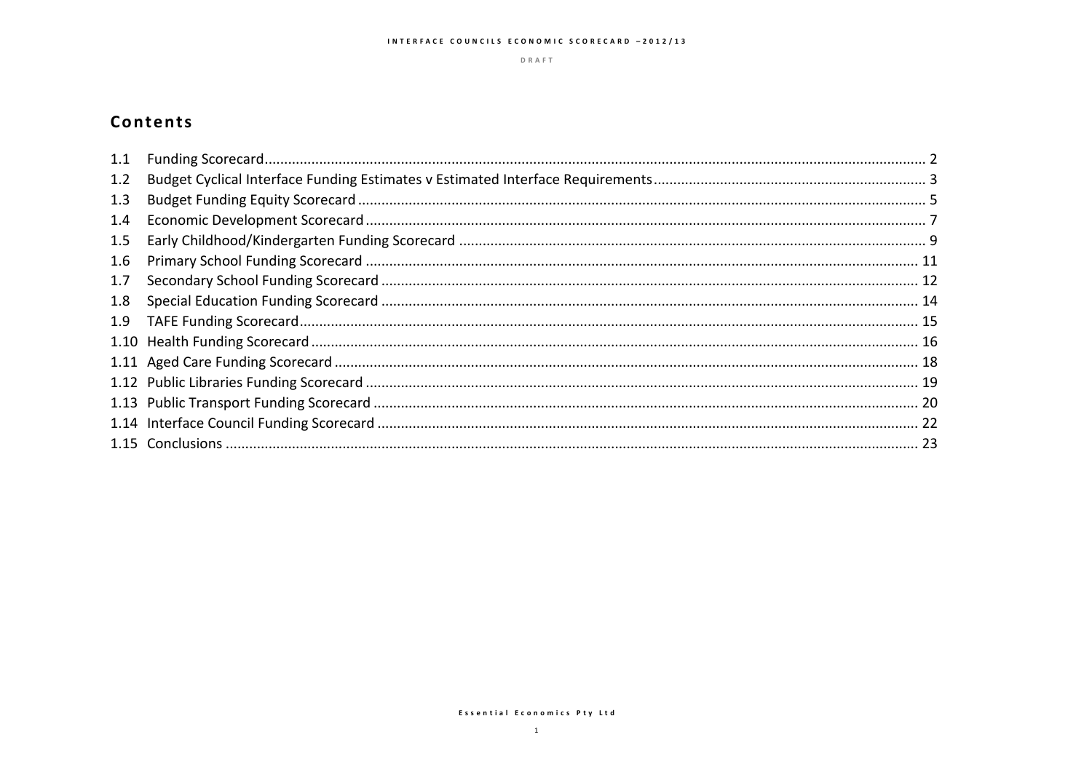DRAFT

# Contents

| 1.1 |  |
|-----|--|
| 1.2 |  |
| 1.3 |  |
| 1.4 |  |
| 1.5 |  |
| 1.6 |  |
| 1.7 |  |
| 1.8 |  |
| 1.9 |  |
|     |  |
|     |  |
|     |  |
|     |  |
|     |  |
|     |  |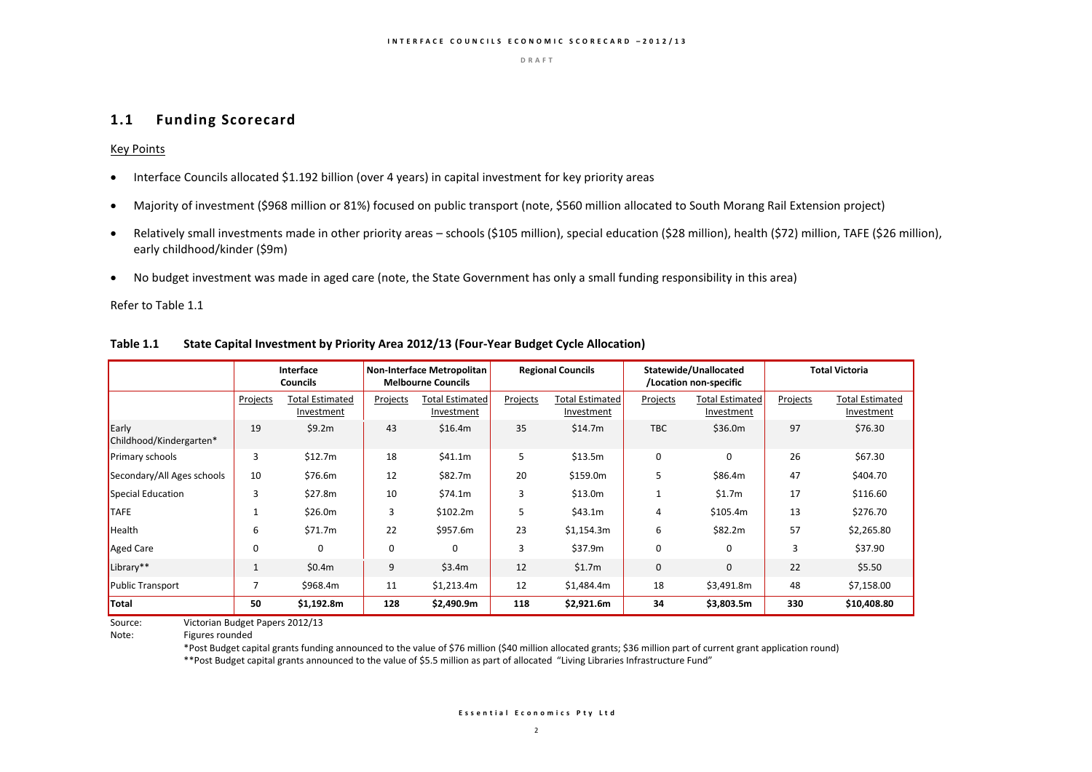### **1.1 Funding Scorecard**

Key Points

- Interface Councils allocated \$1.192 billion (over 4 years) in capital investment for key priority areas
- Majority of investment (\$968 million or 81%) focused on public transport (note, \$560 million allocated to South Morang Rail Extension project)
- Relatively small investments made in other priority areas schools (\$105 million), special education (\$28 million), health (\$72) million, TAFE (\$26 million), early childhood/kinder (\$9m)
- No budget investment was made in aged care (note, the State Government has only a small funding responsibility in this area)

Refer to Table 1.1

|                                  |              | Interface<br><b>Councils</b>         |          | <b>Non-Interface Metropolitan</b><br><b>Melbourne Councils</b> |          | <b>Regional Councils</b>             |              | Statewide/Unallocated<br>/Location non-specific |          | <b>Total Victoria</b>                |
|----------------------------------|--------------|--------------------------------------|----------|----------------------------------------------------------------|----------|--------------------------------------|--------------|-------------------------------------------------|----------|--------------------------------------|
|                                  | Projects     | <b>Total Estimated</b><br>Investment | Projects | <b>Total Estimated</b><br>Investment                           | Projects | <b>Total Estimated</b><br>Investment | Projects     | <b>Total Estimated</b><br>Investment            | Projects | <b>Total Estimated</b><br>Investment |
| Early<br>Childhood/Kindergarten* | 19           | \$9.2m                               | 43       | \$16.4m                                                        | 35       | \$14.7m                              | <b>TBC</b>   | \$36.0m                                         | 97       | \$76.30                              |
| <b>Primary schools</b>           | 3            | \$12.7m                              | 18       | \$41.1m                                                        | 5        | \$13.5m                              | $\Omega$     | $\Omega$                                        | 26       | \$67.30                              |
| Secondary/All Ages schools       | 10           | \$76.6m                              | 12       | \$82.7m                                                        | 20       | \$159.0m                             | 5            | \$86.4m                                         | 47       | \$404.70                             |
| Special Education                | 3            | \$27.8m                              | 10       | \$74.1m                                                        | 3        | \$13.0m                              |              | \$1.7m                                          | 17       | \$116.60                             |
| <b>TAFE</b>                      |              | \$26.0m                              | 3        | \$102.2m                                                       | 5        | \$43.1m                              | 4            | \$105.4m                                        | 13       | \$276.70                             |
| Health                           | 6            | \$71.7m                              | 22       | \$957.6m                                                       | 23       | \$1,154.3m                           | 6            | \$82.2m                                         | 57       | \$2,265.80                           |
| Aged Care                        | $\mathbf 0$  | 0                                    | 0        | $\mathbf 0$                                                    | 3        | \$37.9m                              | $\mathbf 0$  | 0                                               | 3        | \$37.90                              |
| Library**                        | $\mathbf{1}$ | \$0.4m                               | 9        | \$3.4m                                                         | 12       | \$1.7m                               | $\mathbf{0}$ | 0                                               | 22       | \$5.50                               |
| Public Transport                 |              | \$968.4m                             | 11       | \$1,213.4m                                                     | 12       | \$1,484.4m                           | 18           | \$3,491.8m                                      | 48       | \$7,158.00                           |
| Total                            | 50           | \$1,192.8m                           | 128      | \$2,490.9m                                                     | 118      | \$2,921.6m                           | 34           | \$3,803.5m                                      | 330      | \$10,408.80                          |

#### **Table 1.1 State Capital Investment by Priority Area 2012/13 (Four-Year Budget Cycle Allocation)**

Source: Victorian Budget Papers 2012/13

Note: Figures rounded

\*Post Budget capital grants funding announced to the value of \$76 million (\$40 million allocated grants; \$36 million part of current grant application round) \*\*Post Budget capital grants announced to the value of \$5.5 million as part of allocated "Living Libraries Infrastructure Fund"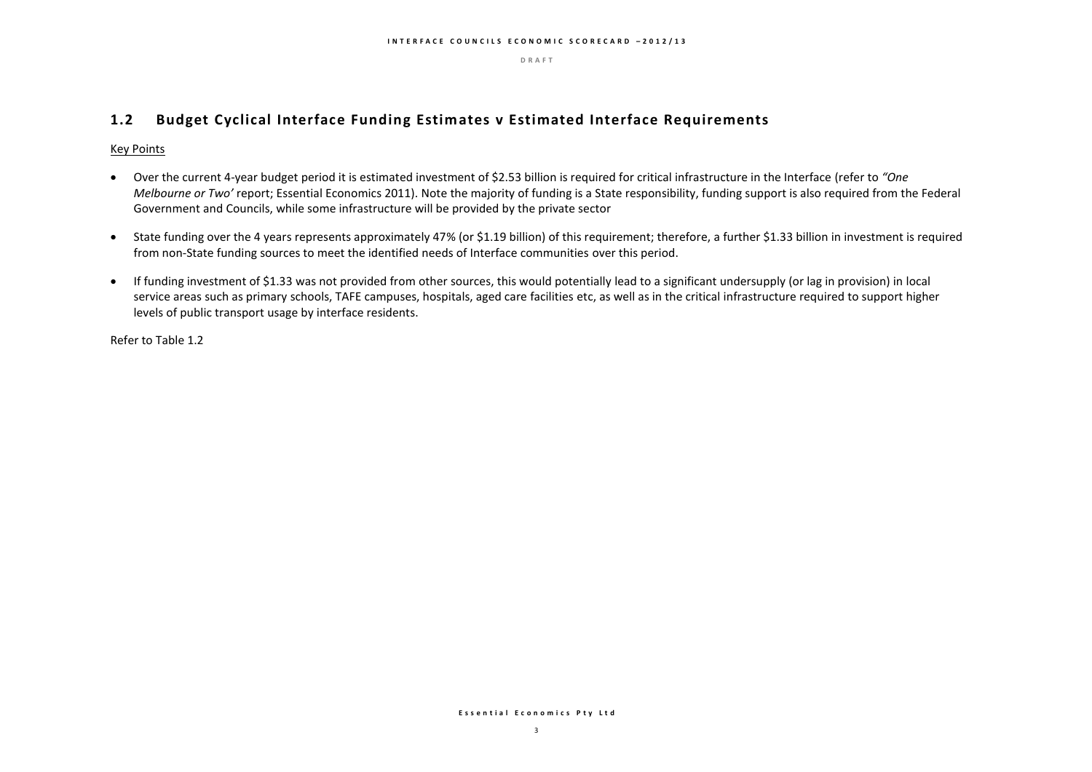### **1.2 Budget Cyclical Interface Funding Estimates v Estimated Interface Requirements**

#### Key Points

- Over the current 4-year budget period it is estimated investment of \$2.53 billion is required for critical infrastructure in the Interface (refer to *"One Melbourne or Two'* report; Essential Economics 2011). Note the majority of funding is a State responsibility, funding support is also required from the Federal Government and Councils, while some infrastructure will be provided by the private sector
- State funding over the 4 years represents approximately 47% (or \$1.19 billion) of this requirement; therefore, a further \$1.33 billion in investment is required from non-State funding sources to meet the identified needs of Interface communities over this period.
- If funding investment of \$1.33 was not provided from other sources, this would potentially lead to a significant undersupply (or lag in provision) in local service areas such as primary schools, TAFE campuses, hospitals, aged care facilities etc, as well as in the critical infrastructure required to support higher levels of public transport usage by interface residents.

Refer to Table 1.2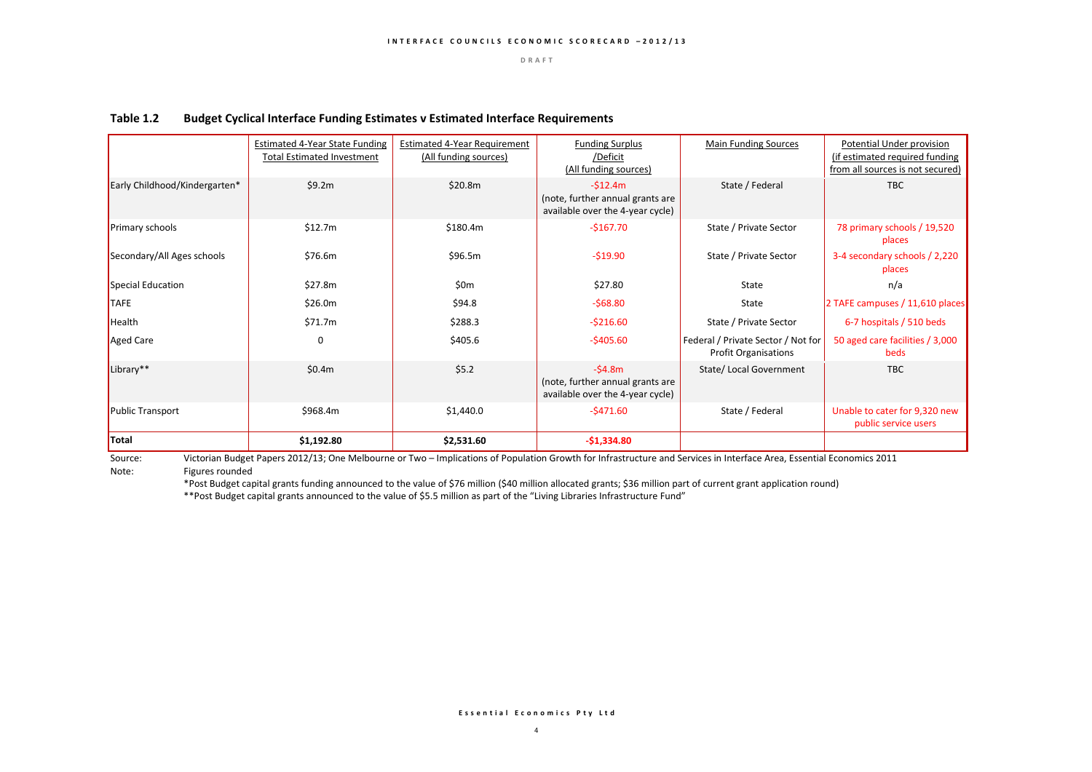|                               | <b>Estimated 4-Year State Funding</b><br><b>Total Estimated Investment</b> | Estimated 4-Year Requirement<br>(All funding sources) | <b>Funding Surplus</b><br>/Deficit<br>(All funding sources)                       | <b>Main Funding Sources</b>                                       | Potential Under provision<br>(if estimated required funding<br>from all sources is not secured) |
|-------------------------------|----------------------------------------------------------------------------|-------------------------------------------------------|-----------------------------------------------------------------------------------|-------------------------------------------------------------------|-------------------------------------------------------------------------------------------------|
| Early Childhood/Kindergarten* | \$9.2m                                                                     | \$20.8m                                               | $-512.4m$<br>(note, further annual grants are<br>available over the 4-year cycle) | State / Federal                                                   | <b>TBC</b>                                                                                      |
| Primary schools               | \$12.7m                                                                    | \$180.4m                                              | $-5167.70$                                                                        | State / Private Sector                                            | 78 primary schools / 19,520<br>places                                                           |
| Secondary/All Ages schools    | \$76.6m                                                                    | \$96.5m                                               | $-519.90$                                                                         | State / Private Sector                                            | 3-4 secondary schools / 2,220<br>places                                                         |
| Special Education             | \$27.8m                                                                    | 50 <sub>m</sub>                                       | \$27.80                                                                           | <b>State</b>                                                      | n/a                                                                                             |
| <b>TAFE</b>                   | \$26.0m                                                                    | \$94.8                                                | $-568.80$                                                                         | <b>State</b>                                                      | 2 TAFE campuses / 11,610 places                                                                 |
| Health                        | \$71.7m                                                                    | \$288.3                                               | $-$ \$216.60                                                                      | State / Private Sector                                            | 6-7 hospitals / 510 beds                                                                        |
| Aged Care                     | $\Omega$                                                                   | \$405.6                                               | $-5405.60$                                                                        | Federal / Private Sector / Not for<br><b>Profit Organisations</b> | 50 aged care facilities / 3,000<br>beds                                                         |
| Library**                     | \$0.4m                                                                     | \$5.2                                                 | $-54.8m$<br>(note, further annual grants are<br>available over the 4-year cycle)  | State/ Local Government                                           | <b>TBC</b>                                                                                      |
| Public Transport              | \$968.4m                                                                   | \$1,440.0                                             | $-5471.60$                                                                        | State / Federal                                                   | Unable to cater for 9,320 new<br>public service users                                           |
| Total                         | \$1,192.80                                                                 | \$2,531.60                                            | $-51,334.80$                                                                      |                                                                   |                                                                                                 |

#### **Table 1.2 Budget Cyclical Interface Funding Estimates v Estimated Interface Requirements**

Source: Victorian Budget Papers 2012/13; One Melbourne or Two – Implications of Population Growth for Infrastructure and Services in Interface Area, Essential Economics 2011<br>Note: Figures rounded Figures rounded

\*Post Budget capital grants funding announced to the value of \$76 million (\$40 million allocated grants; \$36 million part of current grant application round) \*\*Post Budget capital grants announced to the value of \$5.5 million as part of the "Living Libraries Infrastructure Fund"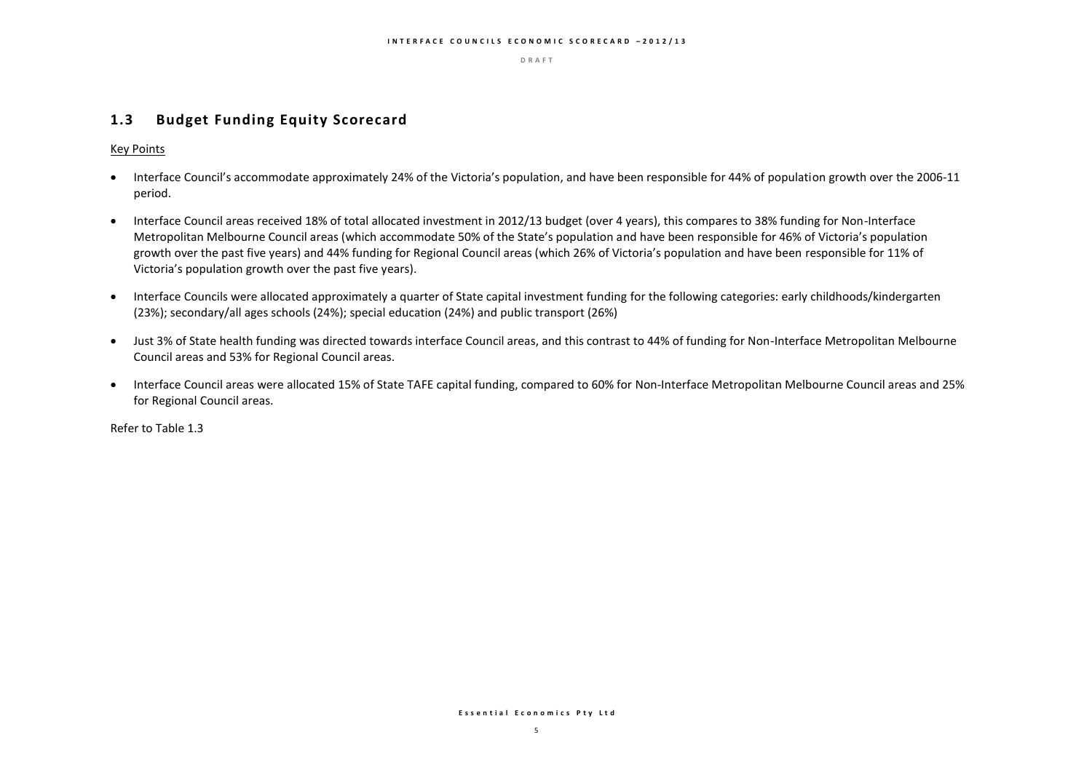### **1.3 Budget Funding Equity Scorecard**

Key Points

- Interface Council's accommodate approximately 24% of the Victoria's population, and have been responsible for 44% of population growth over the 2006-11 period.
- Interface Council areas received 18% of total allocated investment in 2012/13 budget (over 4 years), this compares to 38% funding for Non-Interface Metropolitan Melbourne Council areas (which accommodate 50% of the State's population and have been responsible for 46% of Victoria's population growth over the past five years) and 44% funding for Regional Council areas (which 26% of Victoria's population and have been responsible for 11% of Victoria's population growth over the past five years).
- Interface Councils were allocated approximately a quarter of State capital investment funding for the following categories: early childhoods/kindergarten (23%); secondary/all ages schools (24%); special education (24%) and public transport (26%)
- Just 3% of State health funding was directed towards interface Council areas, and this contrast to 44% of funding for Non-Interface Metropolitan Melbourne Council areas and 53% for Regional Council areas.
- Interface Council areas were allocated 15% of State TAFE capital funding, compared to 60% for Non-Interface Metropolitan Melbourne Council areas and 25% for Regional Council areas.

Refer to Table 1.3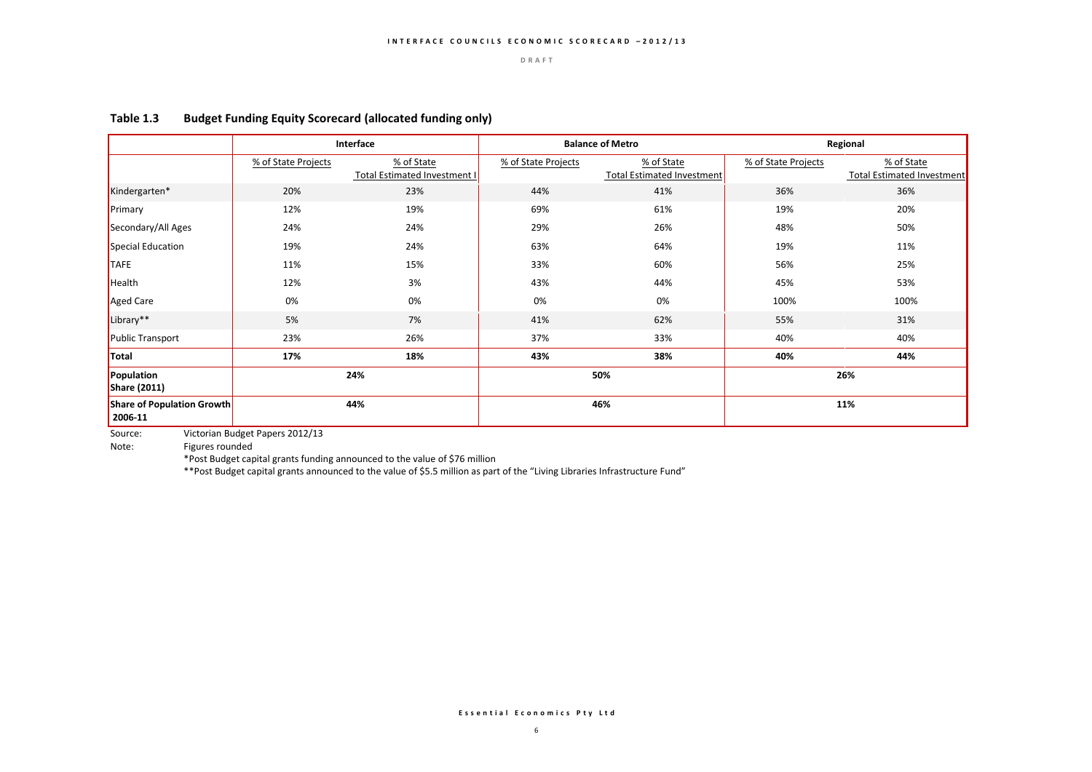|                                                     |                     | Interface                                         |                     | <b>Balance of Metro</b>                         | Regional            |                                                 |
|-----------------------------------------------------|---------------------|---------------------------------------------------|---------------------|-------------------------------------------------|---------------------|-------------------------------------------------|
|                                                     | % of State Projects | % of State<br><b>Total Estimated Investment I</b> | % of State Projects | % of State<br><b>Total Estimated Investment</b> | % of State Projects | % of State<br><b>Total Estimated Investment</b> |
| Kindergarten*                                       | 20%                 | 23%                                               | 44%                 | 41%                                             | 36%                 | 36%                                             |
| Primary                                             | 12%                 | 19%                                               | 69%                 | 61%                                             | 19%                 | 20%                                             |
| Secondary/All Ages                                  | 24%                 | 24%                                               | 29%                 | 26%                                             | 48%                 | 50%                                             |
| Special Education                                   | 19%                 | 24%                                               | 63%                 | 64%                                             | 19%                 | 11%                                             |
| <b>TAFE</b>                                         | 11%                 | 15%                                               | 33%                 | 60%                                             | 56%                 | 25%                                             |
| Health                                              | 12%                 | 3%                                                | 43%                 | 44%                                             | 45%                 | 53%                                             |
| Aged Care                                           | 0%                  | 0%                                                | 0%                  | 0%                                              | 100%                | 100%                                            |
| Library**                                           | 5%                  | 7%                                                | 41%                 | 62%                                             | 55%                 | 31%                                             |
| Public Transport                                    | 23%                 | 26%                                               | 37%                 | 33%                                             | 40%                 | 40%                                             |
| Total                                               | 17%                 | 18%                                               | 43%                 | 38%                                             | 40%                 | 44%                                             |
| Population<br><b>Share (2011)</b>                   | 24%                 |                                                   | 50%                 |                                                 | 26%                 |                                                 |
| 44%<br><b>Share of Population Growth</b><br>2006-11 |                     | 46%                                               |                     | 11%                                             |                     |                                                 |

### **Table 1.3 Budget Funding Equity Scorecard (allocated funding only)**

Source: Victorian Budget Papers 2012/13<br>Note: Figures rounded

Figures rounded

\*Post Budget capital grants funding announced to the value of \$76 million

\*\*Post Budget capital grants announced to the value of \$5.5 million as part of the "Living Libraries Infrastructure Fund"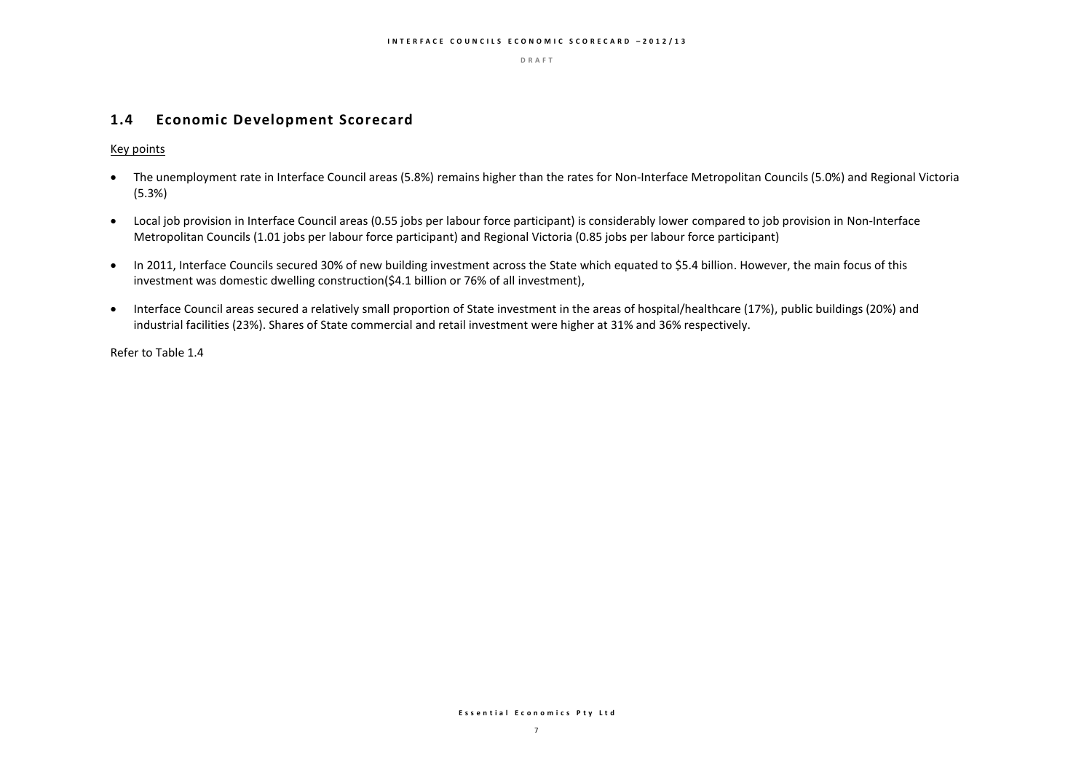### **1.4 Economic Development Scorecard**

Key points

- The unemployment rate in Interface Council areas (5.8%) remains higher than the rates for Non-Interface Metropolitan Councils (5.0%) and Regional Victoria (5.3%)
- Local job provision in Interface Council areas (0.55 jobs per labour force participant) is considerably lower compared to job provision in Non-Interface Metropolitan Councils (1.01 jobs per labour force participant) and Regional Victoria (0.85 jobs per labour force participant)
- In 2011, Interface Councils secured 30% of new building investment across the State which equated to \$5.4 billion. However, the main focus of this investment was domestic dwelling construction(\$4.1 billion or 76% of all investment),
- Interface Council areas secured a relatively small proportion of State investment in the areas of hospital/healthcare (17%), public buildings (20%) and industrial facilities (23%). Shares of State commercial and retail investment were higher at 31% and 36% respectively.

Refer to Table 1.4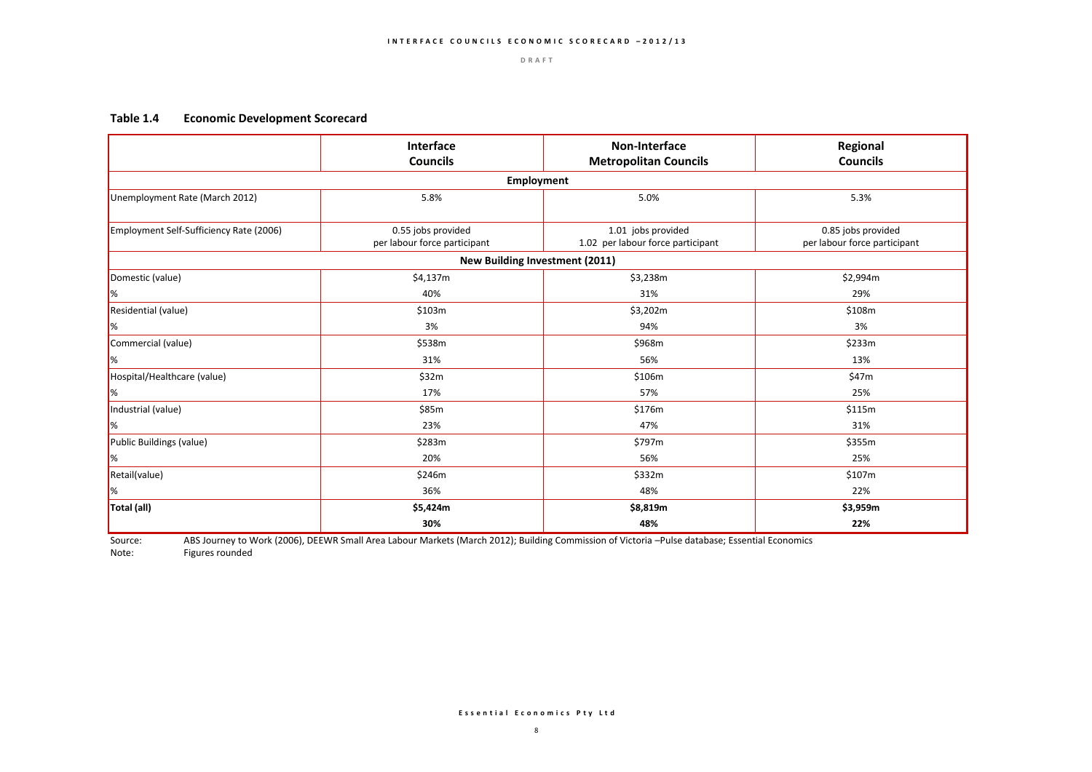#### **Table 1.4 Economic Development Scorecard**

|                                         | Interface<br><b>Councils</b>                       | <b>Non-Interface</b><br><b>Metropolitan Councils</b>    | Regional<br><b>Councils</b>                        |
|-----------------------------------------|----------------------------------------------------|---------------------------------------------------------|----------------------------------------------------|
|                                         | Employment                                         |                                                         |                                                    |
| Unemployment Rate (March 2012)          | 5.8%                                               | 5.0%                                                    | 5.3%                                               |
| Employment Self-Sufficiency Rate (2006) | 0.55 jobs provided<br>per labour force participant | 1.01 jobs provided<br>1.02 per labour force participant | 0.85 jobs provided<br>per labour force participant |
|                                         | <b>New Building Investment (2011)</b>              |                                                         |                                                    |
| Domestic (value)                        | \$4,137m                                           | \$3,238m                                                | \$2,994m                                           |
| $\mathbb{R}$                            | 40%                                                | 31%                                                     | 29%                                                |
| Residential (value)                     | \$103m                                             | \$3,202m                                                | \$108m                                             |
| $\frac{9}{6}$                           | 3%                                                 | 94%                                                     | 3%                                                 |
| Commercial (value)                      | \$538m                                             | \$968m                                                  | \$233m                                             |
| $\mathbb{R}$                            | 31%                                                | 56%                                                     | 13%                                                |
| Hospital/Healthcare (value)             | \$32m                                              | \$106m                                                  | \$47m                                              |
| $\frac{9}{6}$                           | 17%                                                | 57%                                                     | 25%                                                |
| Industrial (value)                      | \$85m                                              | \$176m                                                  | \$115m                                             |
| $\frac{9}{6}$                           | 23%                                                | 47%                                                     | 31%                                                |
| Public Buildings (value)                | \$283m                                             | \$797m                                                  | \$355m                                             |
| $\frac{9}{6}$                           | 20%                                                | 56%                                                     | 25%                                                |
| Retail(value)                           | \$246m                                             | \$332m                                                  | \$107m                                             |
| $\frac{9}{6}$                           | 36%                                                | 48%                                                     | 22%                                                |
| Total (all)                             | \$5,424m                                           | \$8,819m                                                | \$3,959m                                           |
|                                         | 30%                                                | 48%                                                     | 22%                                                |

Source: ABS Journey to Work (2006), DEEWR Small Area Labour Markets (March 2012); Building Commission of Victoria –Pulse database; Essential Economics

Note: Figures rounded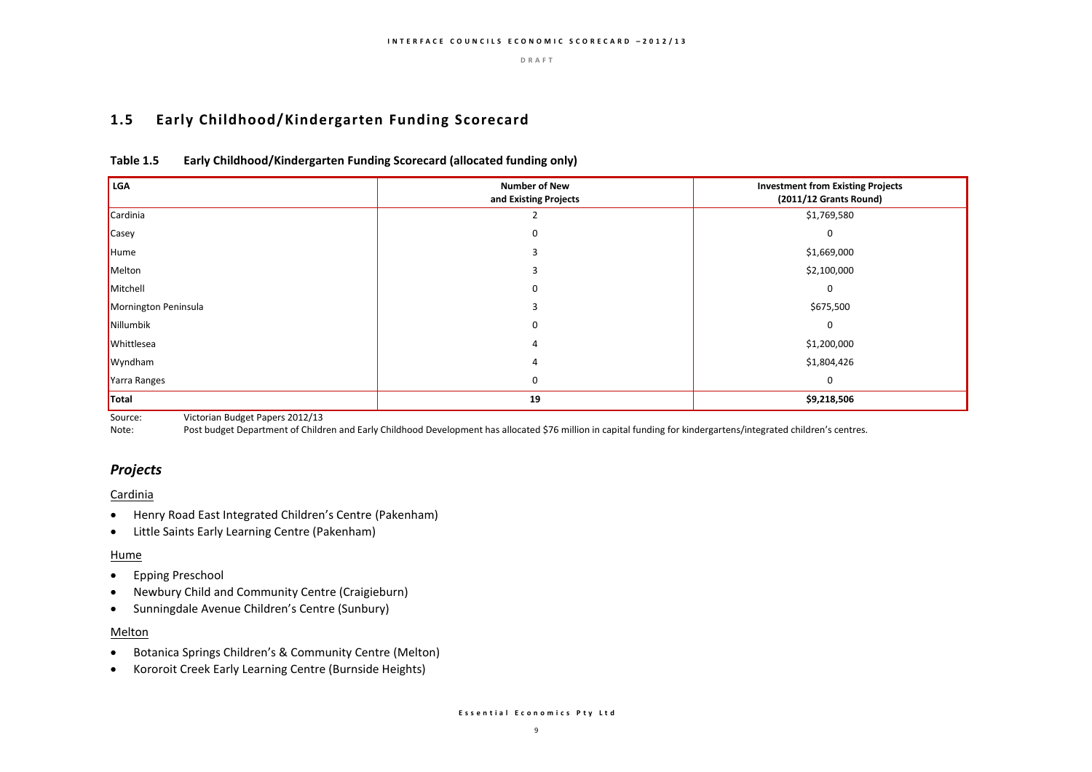### **1.5 Early Childhood/Kindergarten Funding Scorecard**

| Table 1.5 | Early Childhood/Kindergarten Funding Scorecard (allocated funding only) |
|-----------|-------------------------------------------------------------------------|
|-----------|-------------------------------------------------------------------------|

| LGA                  | <b>Number of New</b><br>and Existing Projects | <b>Investment from Existing Projects</b><br>(2011/12 Grants Round) |
|----------------------|-----------------------------------------------|--------------------------------------------------------------------|
| Cardinia             |                                               | \$1,769,580                                                        |
| <b>Casey</b>         | O                                             | $\Omega$                                                           |
| Hume                 |                                               | \$1,669,000                                                        |
| Melton               |                                               | \$2,100,000                                                        |
| Mitchell             | 0                                             | 0                                                                  |
| Mornington Peninsula |                                               | \$675,500                                                          |
| Nillumbik            | 0                                             | 0                                                                  |
| Whittlesea           | 4                                             | \$1,200,000                                                        |
| Wyndham              |                                               | \$1,804,426                                                        |
| Yarra Ranges         | 0                                             | $\mathbf 0$                                                        |
| Total                | 19                                            | \$9,218,506                                                        |

Source: Victorian Budget Papers 2012/13

Note: Post budget Department of Children and Early Childhood Development has allocated \$76 million in capital funding for kindergartens/integrated children's centres.

### *Projects*

#### Cardinia

- Henry Road East Integrated Children's Centre (Pakenham)
- Little Saints Early Learning Centre (Pakenham)

#### Hume

- Epping Preschool
- Newbury Child and Community Centre (Craigieburn)
- Sunningdale Avenue Children's Centre (Sunbury)

#### Melton

- Botanica Springs Children's & Community Centre (Melton)
- Kororoit Creek Early Learning Centre (Burnside Heights)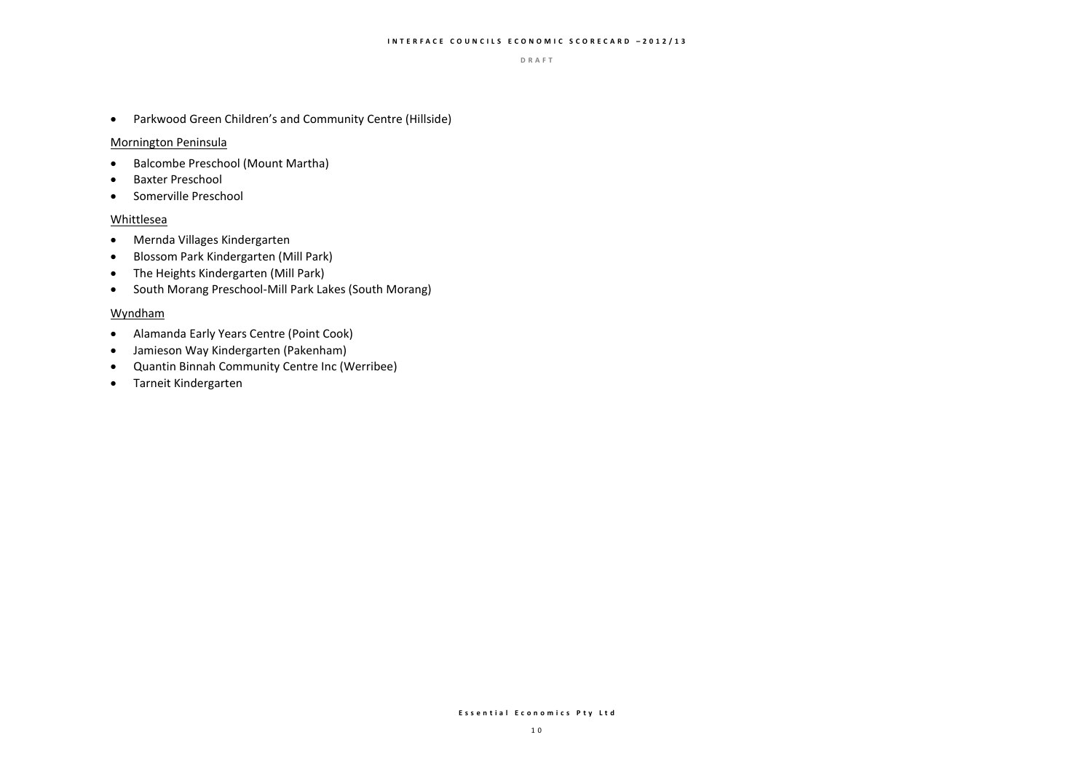Parkwood Green Children's and Community Centre (Hillside)

#### Mornington Peninsula

- Balcombe Preschool (Mount Martha)
- **•** Baxter Preschool
- **•** Somerville Preschool

### Whittlesea

- Mernda Villages Kindergarten
- Blossom Park Kindergarten (Mill Park)
- The Heights Kindergarten (Mill Park)
- South Morang Preschool-Mill Park Lakes (South Morang)

#### Wyndham

- Alamanda Early Years Centre (Point Cook)
- Jamieson Way Kindergarten (Pakenham)
- Quantin Binnah Community Centre Inc (Werribee)
- Tarneit Kindergarten

#### **E s s e n t i a l E c o n o m i c s P t y L t d**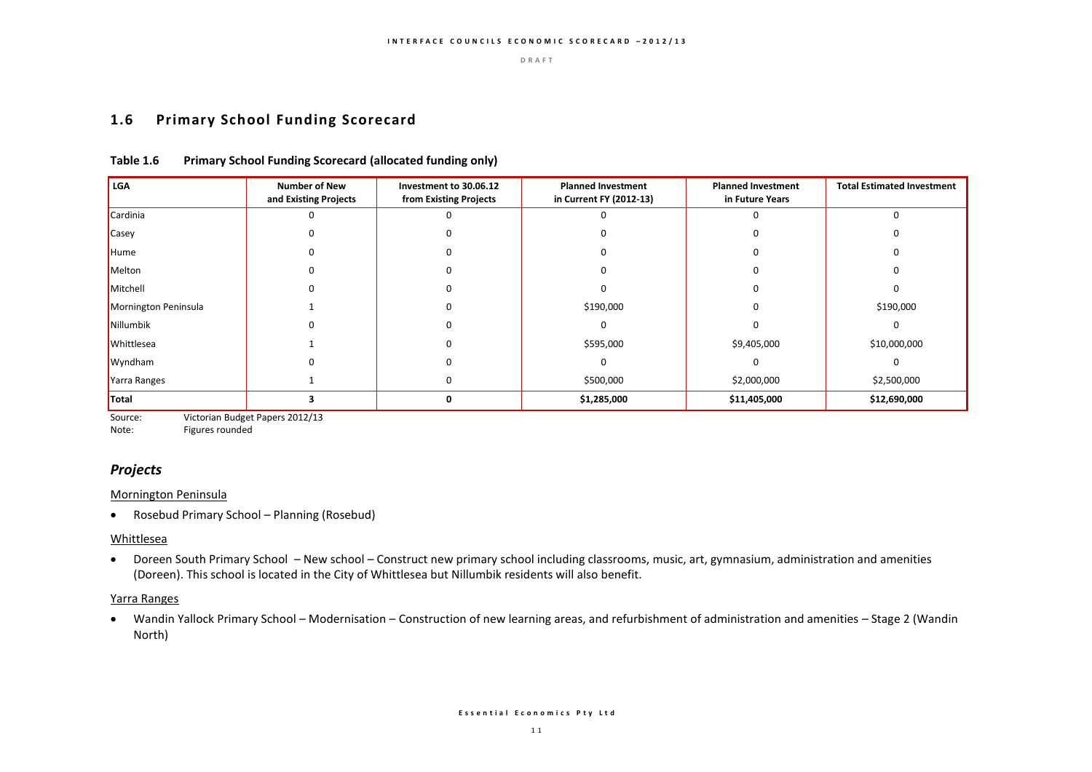### **1.6 Primary School Funding Scorecard**

| <b>LGA</b>           | <b>Number of New</b><br>and Existing Projects | Investment to 30.06.12<br>from Existing Projects | <b>Planned Investment</b><br>in Current FY (2012-13) | <b>Planned Investment</b><br>in Future Years | <b>Total Estimated Investment</b> |
|----------------------|-----------------------------------------------|--------------------------------------------------|------------------------------------------------------|----------------------------------------------|-----------------------------------|
| Cardinia             |                                               |                                                  |                                                      |                                              |                                   |
| Casey                |                                               |                                                  |                                                      |                                              |                                   |
| Hume                 |                                               |                                                  |                                                      |                                              |                                   |
| Melton               |                                               |                                                  |                                                      |                                              |                                   |
| Mitchell             |                                               |                                                  |                                                      |                                              |                                   |
| Mornington Peninsula |                                               |                                                  | \$190,000                                            |                                              | \$190,000                         |
| Nillumbik            |                                               |                                                  |                                                      |                                              |                                   |
| Whittlesea           |                                               |                                                  | \$595,000                                            | \$9,405,000                                  | \$10,000,000                      |
| Wyndham              |                                               |                                                  |                                                      |                                              |                                   |
| Yarra Ranges         |                                               |                                                  | \$500,000                                            | \$2,000,000                                  | \$2,500,000                       |
| Total                |                                               | $\Omega$                                         | \$1,285,000                                          | \$11,405,000                                 | \$12,690,000                      |

#### **Table 1.6 Primary School Funding Scorecard (allocated funding only)**

Source: Victorian Budget Papers 2012/13

Note: Figures rounded

# *Projects*

#### Mornington Peninsula

Rosebud Primary School – Planning (Rosebud)

### Whittlesea

 Doreen South Primary School – New school – Construct new primary school including classrooms, music, art, gymnasium, administration and amenities (Doreen). This school is located in the City of Whittlesea but Nillumbik residents will also benefit.

#### Yarra Ranges

 Wandin Yallock Primary School – Modernisation – Construction of new learning areas, and refurbishment of administration and amenities – Stage 2 (Wandin North)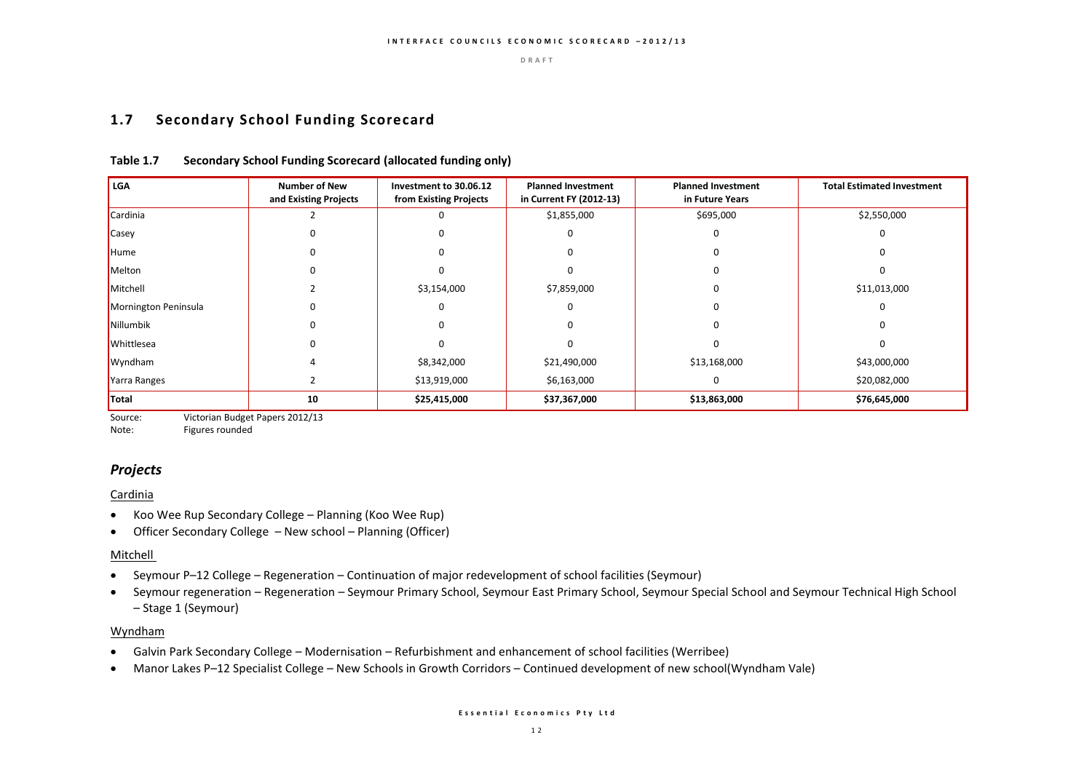### **1.7 Secondary School Funding Scorecard**

| LGA                  | <b>Number of New</b><br>and Existing Projects | Investment to 30.06.12<br>from Existing Projects | <b>Planned Investment</b><br>in Current FY (2012-13) | <b>Planned Investment</b><br>in Future Years | <b>Total Estimated Investment</b> |
|----------------------|-----------------------------------------------|--------------------------------------------------|------------------------------------------------------|----------------------------------------------|-----------------------------------|
| Cardinia             |                                               |                                                  | \$1,855,000                                          | \$695,000                                    | \$2,550,000                       |
| Casey                |                                               |                                                  | 0                                                    |                                              |                                   |
| Hume                 |                                               |                                                  |                                                      |                                              |                                   |
| Melton               |                                               |                                                  |                                                      |                                              |                                   |
| Mitchell             |                                               | \$3,154,000                                      | \$7,859,000                                          |                                              | \$11,013,000                      |
| Mornington Peninsula |                                               | 0                                                |                                                      |                                              |                                   |
| Nillumbik            |                                               |                                                  |                                                      |                                              |                                   |
| Whittlesea           |                                               |                                                  |                                                      |                                              |                                   |
| Wyndham              |                                               | \$8,342,000                                      | \$21,490,000                                         | \$13,168,000                                 | \$43,000,000                      |
| Yarra Ranges         |                                               | \$13,919,000                                     | \$6,163,000                                          |                                              | \$20,082,000                      |
| <b>Total</b>         | 10                                            | \$25,415,000                                     | \$37,367,000                                         | \$13,863,000                                 | \$76,645,000                      |

#### **Table 1.7 Secondary School Funding Scorecard (allocated funding only)**

Source: Victorian Budget Papers 2012/13

Note: Figures rounded

### *Projects*

#### Cardinia

- Koo Wee Rup Secondary College Planning (Koo Wee Rup)
- Officer Secondary College New school Planning (Officer)

#### Mitchell

- Seymour P–12 College Regeneration Continuation of major redevelopment of school facilities (Seymour)
- Seymour regeneration Regeneration Seymour Primary School, Seymour East Primary School, Seymour Special School and Seymour Technical High School – Stage 1 (Seymour)

#### Wyndham

- Galvin Park Secondary College Modernisation Refurbishment and enhancement of school facilities (Werribee)
- Manor Lakes P–12 Specialist College New Schools in Growth Corridors Continued development of new school(Wyndham Vale)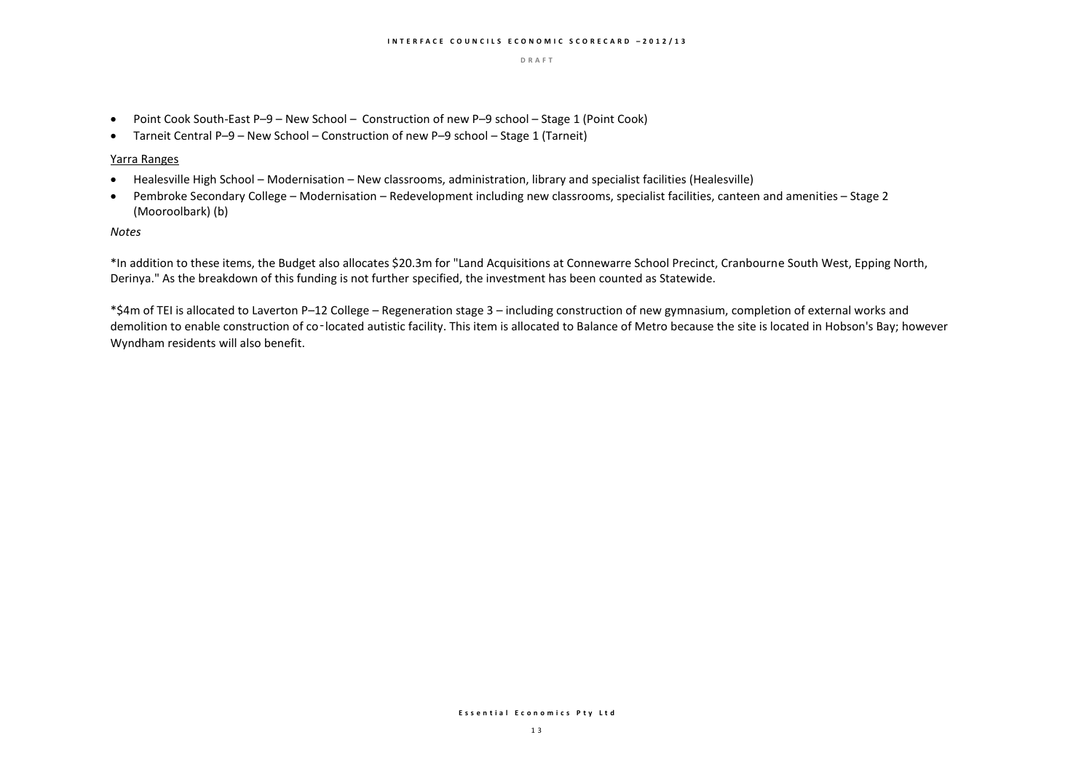- Point Cook South-East P-9 New School Construction of new P-9 school Stage 1 (Point Cook)
- Tarneit Central P–9 New School Construction of new P–9 school Stage 1 (Tarneit)

#### Yarra Ranges

- Healesville High School Modernisation New classrooms, administration, library and specialist facilities (Healesville)
- Pembroke Secondary College Modernisation Redevelopment including new classrooms, specialist facilities, canteen and amenities Stage 2 (Mooroolbark) (b)

#### *Notes*

\*In addition to these items, the Budget also allocates \$20.3m for "Land Acquisitions at Connewarre School Precinct, Cranbourne South West, Epping North, Derinya." As the breakdown of this funding is not further specified, the investment has been counted as Statewide.

\*\$4m of TEI is allocated to Laverton P–12 College – Regeneration stage 3 – including construction of new gymnasium, completion of external works and demolition to enable construction of co-located autistic facility. This item is allocated to Balance of Metro because the site is located in Hobson's Bay; however Wyndham residents will also benefit.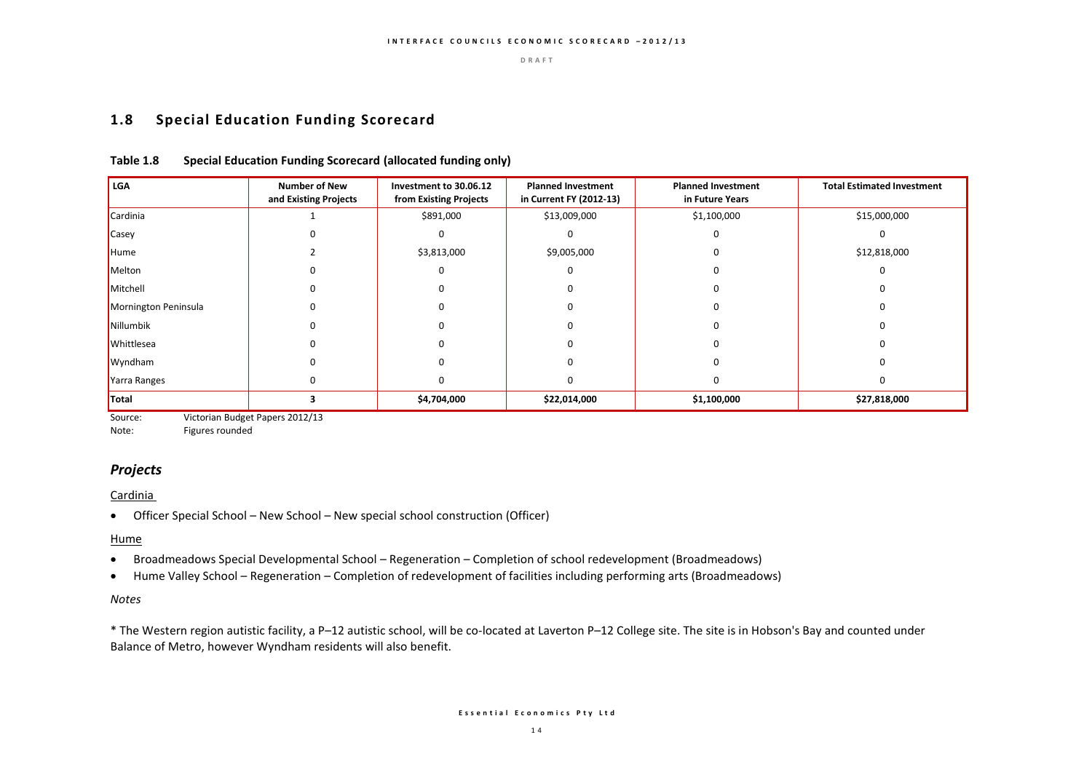### **1.8 Special Education Funding Scorecard**

### **Table 1.8 Special Education Funding Scorecard (allocated funding only)**

| <b>LGA</b>           | <b>Number of New</b><br>and Existing Projects | Investment to 30.06.12<br>from Existing Projects | <b>Planned Investment</b><br>in Current FY (2012-13) | <b>Planned Investment</b><br>in Future Years | <b>Total Estimated Investment</b> |
|----------------------|-----------------------------------------------|--------------------------------------------------|------------------------------------------------------|----------------------------------------------|-----------------------------------|
| Cardinia             |                                               | \$891,000                                        | \$13,009,000                                         | \$1,100,000                                  | \$15,000,000                      |
| Casey                |                                               |                                                  |                                                      |                                              |                                   |
| Hume                 |                                               | \$3,813,000                                      | \$9,005,000                                          |                                              | \$12,818,000                      |
| Melton               |                                               |                                                  |                                                      |                                              |                                   |
| Mitchell             |                                               |                                                  |                                                      |                                              | 0                                 |
| Mornington Peninsula |                                               |                                                  |                                                      |                                              |                                   |
| Nillumbik            |                                               |                                                  |                                                      |                                              |                                   |
| Whittlesea           |                                               |                                                  |                                                      |                                              |                                   |
| Wyndham              |                                               |                                                  |                                                      |                                              |                                   |
| Yarra Ranges         |                                               |                                                  |                                                      |                                              | O                                 |
| Total                |                                               | \$4,704,000                                      | \$22,014,000                                         | \$1,100,000                                  | \$27,818,000                      |

Source: Victorian Budget Papers 2012/13

Note: Figures rounded

### *Projects*

#### Cardinia

Officer Special School – New School – New special school construction (Officer)

#### **Hume**

- Broadmeadows Special Developmental School Regeneration Completion of school redevelopment (Broadmeadows)
- Hume Valley School Regeneration Completion of redevelopment of facilities including performing arts (Broadmeadows)

#### *Notes*

\* The Western region autistic facility, a P–12 autistic school, will be co-located at Laverton P–12 College site. The site is in Hobson's Bay and counted under Balance of Metro, however Wyndham residents will also benefit.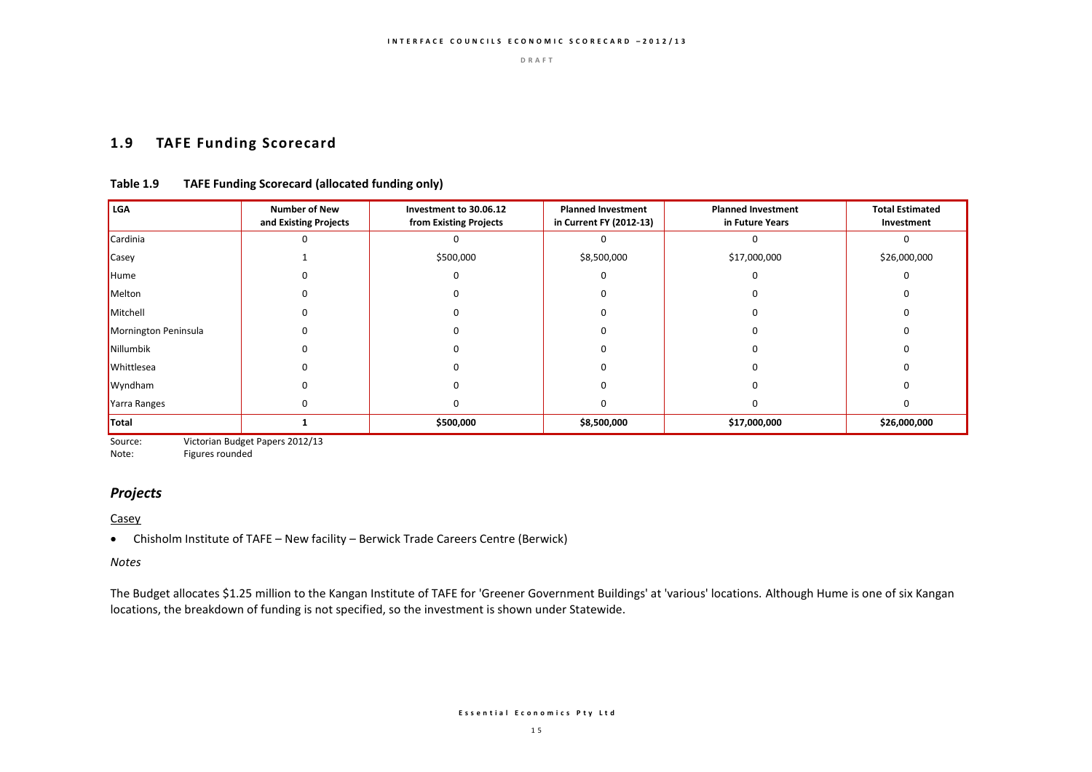### **1.9 TAFE Funding Scorecard**

### **Table 1.9 TAFE Funding Scorecard (allocated funding only)**

| LGA                  | <b>Number of New</b><br>and Existing Projects | Investment to 30.06.12<br>from Existing Projects | <b>Planned Investment</b><br>in Current FY (2012-13) | <b>Planned Investment</b><br>in Future Years | <b>Total Estimated</b><br>Investment |
|----------------------|-----------------------------------------------|--------------------------------------------------|------------------------------------------------------|----------------------------------------------|--------------------------------------|
| Cardinia             |                                               |                                                  |                                                      |                                              |                                      |
| Casey                |                                               | \$500,000                                        | \$8,500,000                                          | \$17,000,000                                 | \$26,000,000                         |
| Hume                 |                                               | $\Omega$                                         |                                                      |                                              |                                      |
| Melton               |                                               |                                                  |                                                      |                                              |                                      |
| Mitchell             |                                               |                                                  |                                                      |                                              |                                      |
| Mornington Peninsula |                                               |                                                  |                                                      |                                              |                                      |
| Nillumbik            |                                               |                                                  |                                                      |                                              |                                      |
| Whittlesea           |                                               |                                                  |                                                      |                                              |                                      |
| Wyndham              |                                               |                                                  |                                                      |                                              |                                      |
| Yarra Ranges         |                                               |                                                  |                                                      |                                              |                                      |
| <b>Total</b>         |                                               | \$500,000                                        | \$8,500,000                                          | \$17,000,000                                 | \$26,000,000                         |

Source: Victorian Budget Papers 2012/13<br>Note: Figures rounded

Figures rounded

### *Projects*

**Casey** 

Chisholm Institute of TAFE – New facility – Berwick Trade Careers Centre (Berwick)

*Notes*

The Budget allocates \$1.25 million to the Kangan Institute of TAFE for 'Greener Government Buildings' at 'various' locations. Although Hume is one of six Kangan locations, the breakdown of funding is not specified, so the investment is shown under Statewide.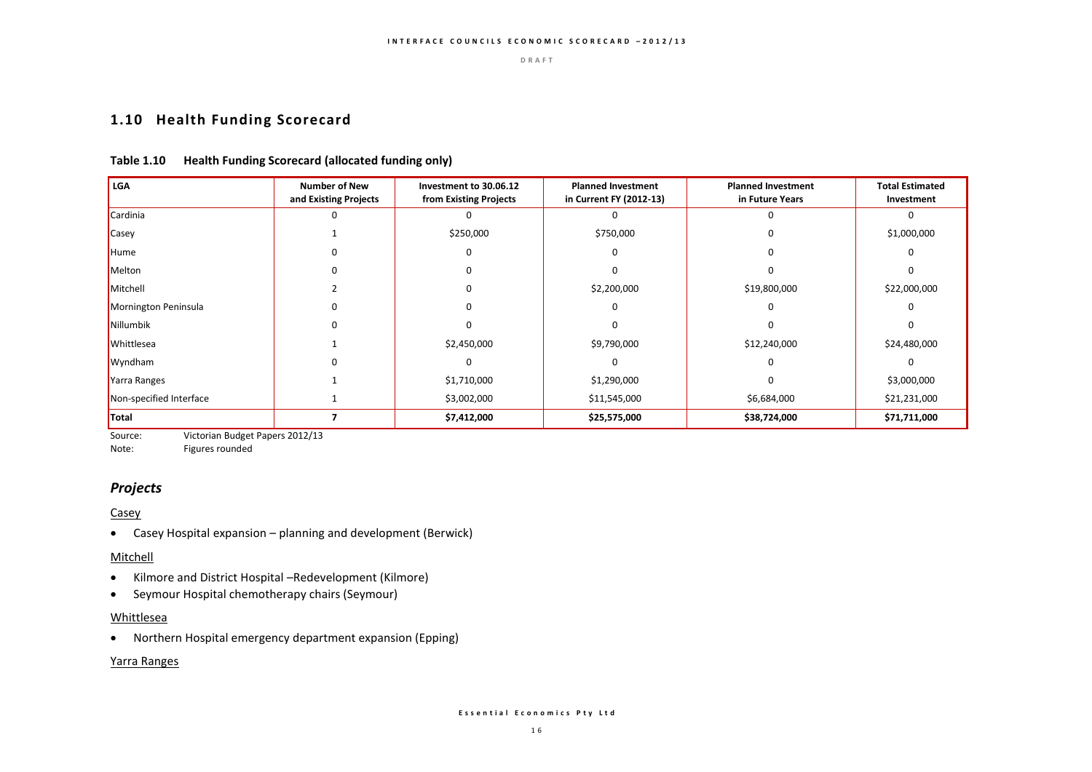### **1.10 Health Funding Scorecard**

### **Table 1.10 Health Funding Scorecard (allocated funding only)**

| <b>LGA</b>              | <b>Number of New</b><br>and Existing Projects | Investment to 30.06.12<br>from Existing Projects | <b>Planned Investment</b><br>in Current FY (2012-13) | <b>Planned Investment</b><br>in Future Years | <b>Total Estimated</b><br>Investment |
|-------------------------|-----------------------------------------------|--------------------------------------------------|------------------------------------------------------|----------------------------------------------|--------------------------------------|
| Cardinia                |                                               |                                                  |                                                      |                                              |                                      |
| Casey                   |                                               | \$250,000                                        | \$750,000                                            |                                              | \$1,000,000                          |
| Hume                    |                                               |                                                  |                                                      |                                              |                                      |
| Melton                  |                                               |                                                  |                                                      | o                                            |                                      |
| Mitchell                |                                               |                                                  | \$2,200,000                                          | \$19,800,000                                 | \$22,000,000                         |
| Mornington Peninsula    |                                               |                                                  |                                                      |                                              |                                      |
| Nillumbik               |                                               |                                                  |                                                      |                                              |                                      |
| Whittlesea              |                                               | \$2,450,000                                      | \$9,790,000                                          | \$12,240,000                                 | \$24,480,000                         |
| Wyndham                 |                                               |                                                  |                                                      |                                              |                                      |
| Yarra Ranges            |                                               | \$1,710,000                                      | \$1,290,000                                          | O                                            | \$3,000,000                          |
| Non-specified Interface |                                               | \$3,002,000                                      | \$11,545,000                                         | \$6,684,000                                  | \$21,231,000                         |
| Total                   |                                               | \$7,412,000                                      | \$25,575,000                                         | \$38,724,000                                 | \$71,711,000                         |

Source: Victorian Budget Papers 2012/13<br>Note: Figures rounded

Figures rounded

### *Projects*

#### **Casey**

Casey Hospital expansion – planning and development (Berwick)

#### Mitchell

- Kilmore and District Hospital –Redevelopment (Kilmore)
- Seymour Hospital chemotherapy chairs (Seymour)

#### Whittlesea

Northern Hospital emergency department expansion (Epping)

### Yarra Ranges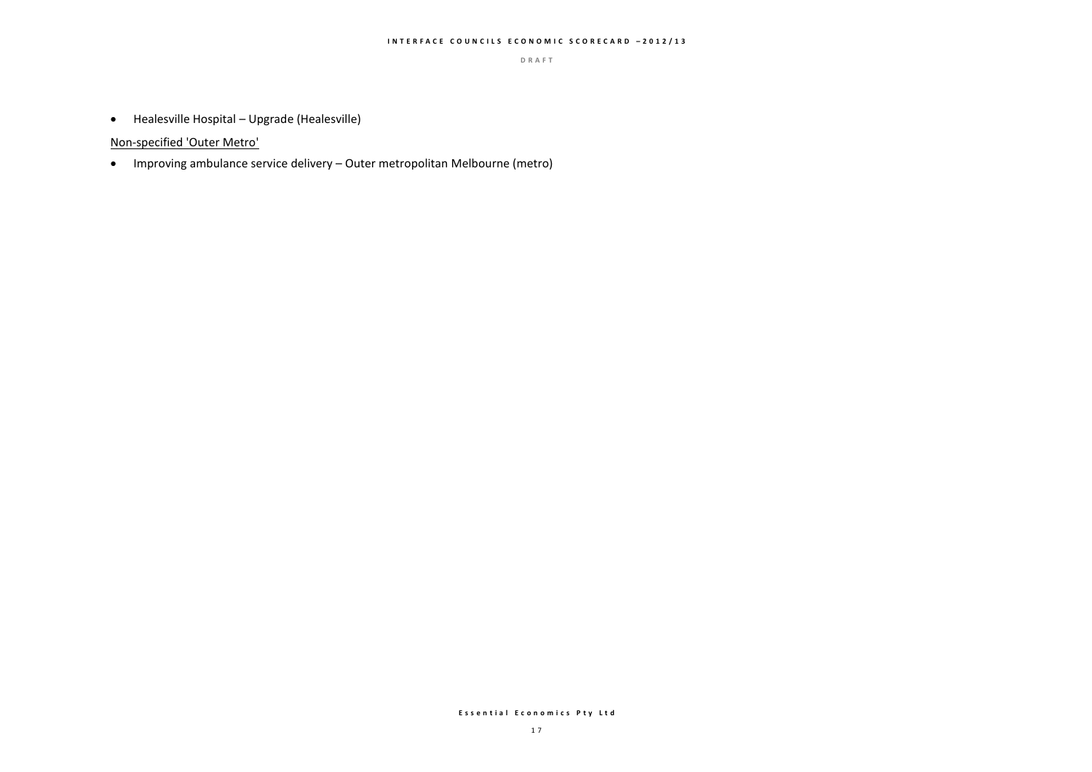#### **I N T E R F A C E C O U N C I L S E C O N O M I C S C O R E C A R D – 2 0 1 2 / 1 3**

**D R A F T**

Healesville Hospital – Upgrade (Healesville)

Non-specified 'Outer Metro'

Improving ambulance service delivery – Outer metropolitan Melbourne (metro)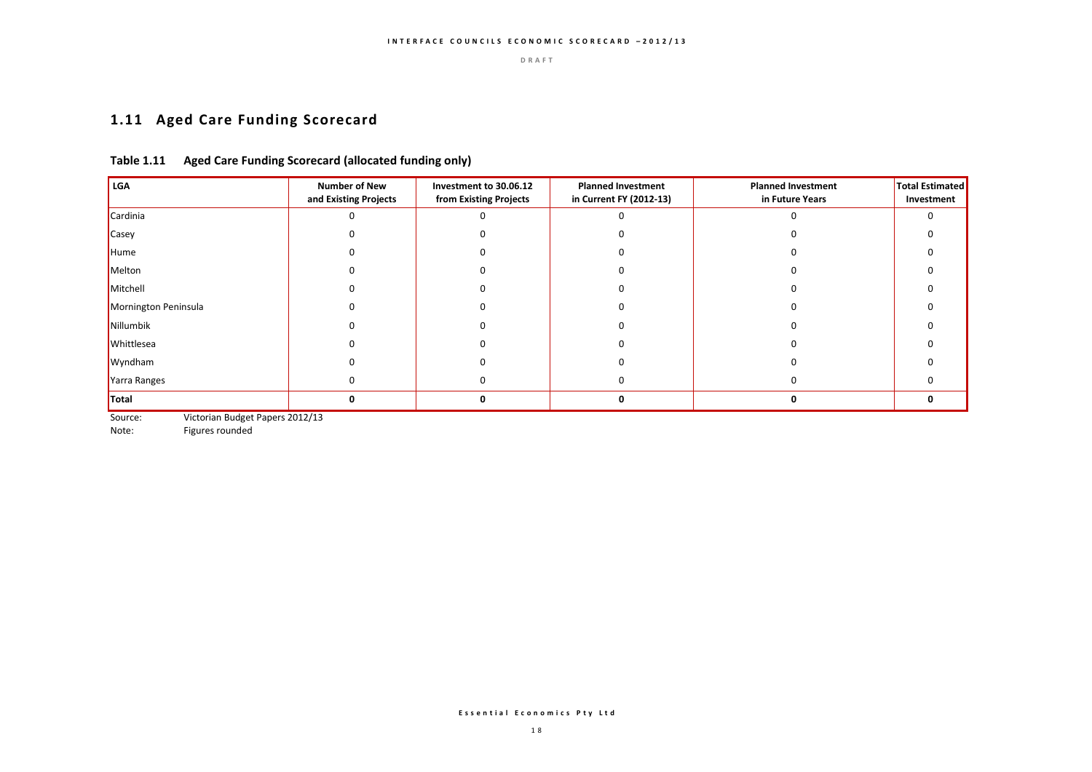# **1.11 Aged Care Funding Scorecard**

### **Table 1.11 Aged Care Funding Scorecard (allocated funding only)**

| <b>LGA</b>           | <b>Number of New</b><br>and Existing Projects | Investment to 30.06.12<br>from Existing Projects | <b>Planned Investment</b><br>in Current FY (2012-13) | <b>Planned Investment</b><br>in Future Years | <b>Total Estimated</b><br>Investment |
|----------------------|-----------------------------------------------|--------------------------------------------------|------------------------------------------------------|----------------------------------------------|--------------------------------------|
| Cardinia             |                                               |                                                  |                                                      |                                              |                                      |
| Casey                |                                               |                                                  |                                                      |                                              |                                      |
| Hume                 |                                               |                                                  |                                                      |                                              |                                      |
| Melton               |                                               |                                                  |                                                      |                                              |                                      |
| Mitchell             |                                               |                                                  |                                                      |                                              |                                      |
| Mornington Peninsula |                                               |                                                  |                                                      |                                              |                                      |
| Nillumbik            |                                               |                                                  |                                                      |                                              |                                      |
| Whittlesea           |                                               |                                                  |                                                      |                                              |                                      |
| Wyndham              |                                               |                                                  |                                                      |                                              |                                      |
| Yarra Ranges         |                                               |                                                  | 0                                                    |                                              |                                      |
| <b>Total</b>         |                                               | Ω                                                |                                                      |                                              | ŋ                                    |

Source: Victorian Budget Papers 2012/13<br>Note: Figures rounded

Figures rounded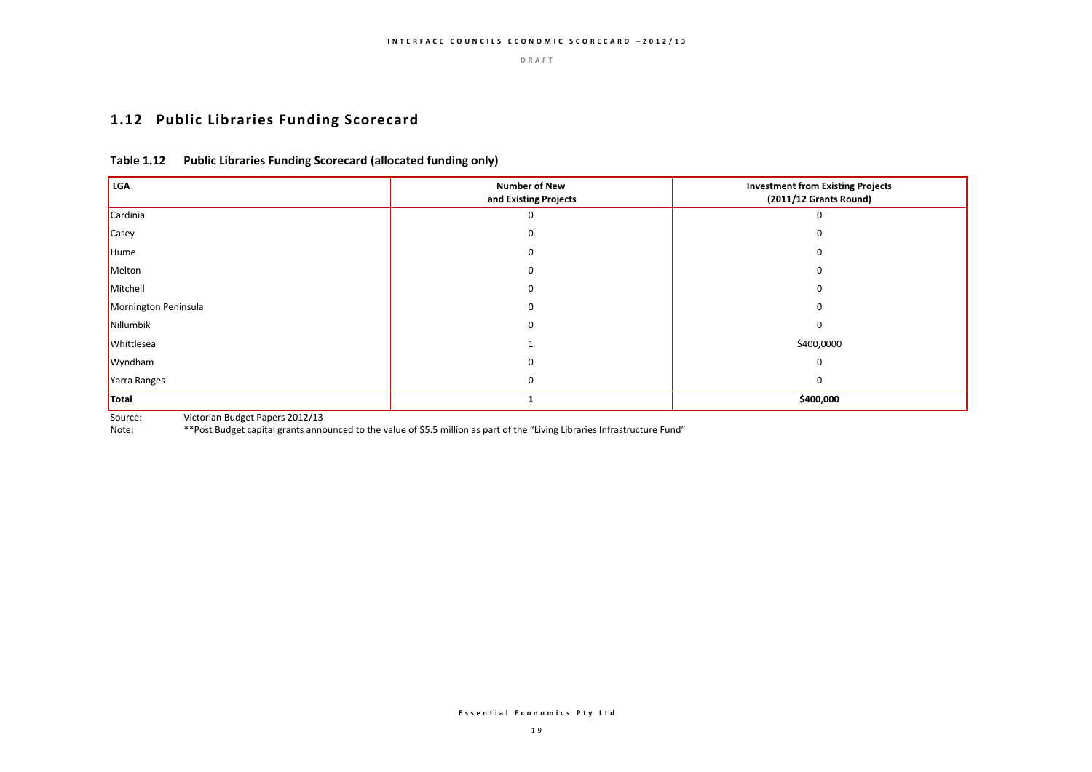# **1.12 Public Libraries Funding Scorecard**

### **Table 1.12 Public Libraries Funding Scorecard (allocated funding only)**

| LGA                  | <b>Number of New</b><br>and Existing Projects | <b>Investment from Existing Projects</b><br>(2011/12 Grants Round) |  |
|----------------------|-----------------------------------------------|--------------------------------------------------------------------|--|
| Cardinia             |                                               | O                                                                  |  |
| <b>Casey</b>         |                                               |                                                                    |  |
| Hume                 |                                               | $\Omega$                                                           |  |
| Melton               |                                               | $\Omega$                                                           |  |
| Mitchell             |                                               | 0                                                                  |  |
| Mornington Peninsula |                                               | 0                                                                  |  |
| Nillumbik            |                                               | 0                                                                  |  |
| Whittlesea           |                                               | \$400,0000                                                         |  |
| Wyndham              |                                               | $\Omega$                                                           |  |
| Yarra Ranges         |                                               | $\Omega$                                                           |  |
| Total                |                                               | \$400,000                                                          |  |

Source: Victorian Budget Papers 2012/13

Note: \*\*Post Budget capital grants announced to the value of \$5.5 million as part of the "Living Libraries Infrastructure Fund"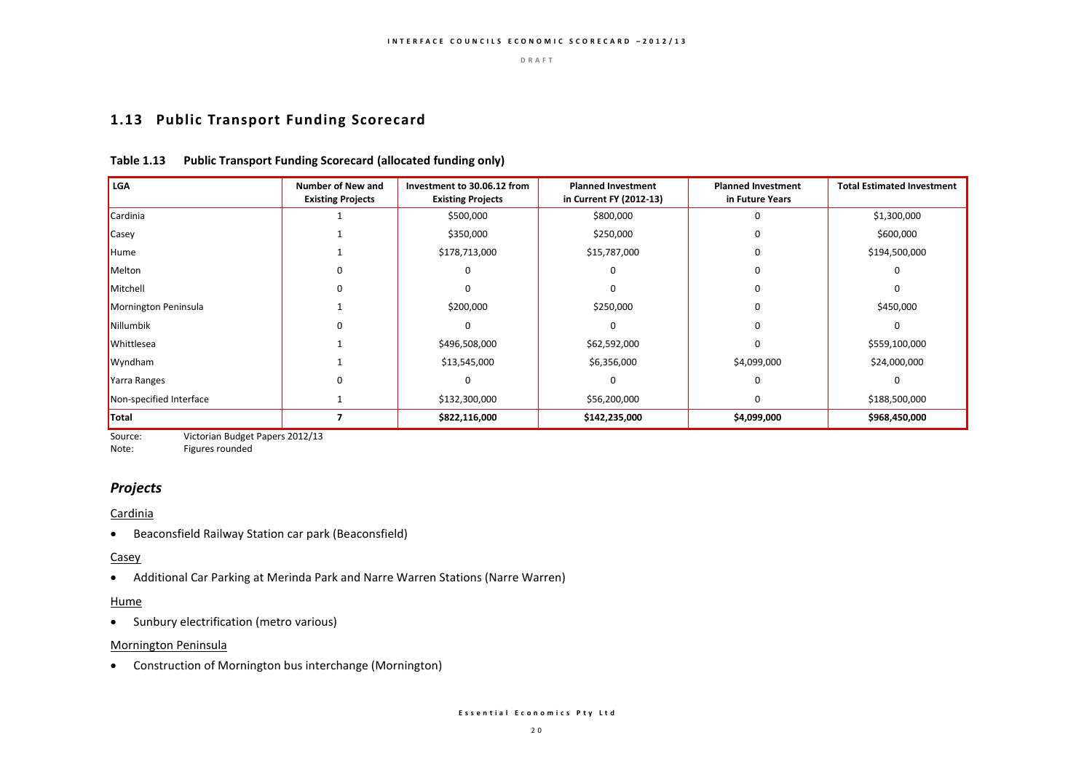### **1.13 Public Transport Funding Scorecard**

#### **Table 1.13 Public Transport Funding Scorecard (allocated funding only)**

| <b>LGA</b>              | <b>Number of New and</b><br><b>Existing Projects</b> | Investment to 30.06.12 from<br><b>Existing Projects</b> | <b>Planned Investment</b><br>in Current FY (2012-13) | <b>Planned Investment</b><br>in Future Years | <b>Total Estimated Investment</b> |
|-------------------------|------------------------------------------------------|---------------------------------------------------------|------------------------------------------------------|----------------------------------------------|-----------------------------------|
| Cardinia                |                                                      | \$500,000                                               | \$800,000                                            | 0                                            | \$1,300,000                       |
| Casey                   |                                                      | \$350,000                                               | \$250,000                                            | 0                                            | \$600,000                         |
| Hume                    |                                                      | \$178,713,000                                           | \$15,787,000                                         | 0                                            | \$194,500,000                     |
| Melton                  | 0                                                    |                                                         |                                                      | ი                                            | O                                 |
| Mitchell                | U                                                    |                                                         |                                                      | ŋ                                            |                                   |
| Mornington Peninsula    |                                                      | \$200,000                                               | \$250,000                                            | 0                                            | \$450,000                         |
| Nillumbik               | U                                                    |                                                         |                                                      | O                                            | $\Omega$                          |
| Whittlesea              |                                                      | \$496,508,000                                           | \$62,592,000                                         | 0                                            | \$559,100,000                     |
| Wyndham                 |                                                      | \$13,545,000                                            | \$6,356,000                                          | \$4,099,000                                  | \$24,000,000                      |
| Yarra Ranges            | U                                                    |                                                         |                                                      | O                                            | $\Omega$                          |
| Non-specified Interface |                                                      | \$132,300,000                                           | \$56,200,000                                         | 0                                            | \$188,500,000                     |
| Total                   |                                                      | \$822,116,000                                           | \$142,235,000                                        | \$4,099,000                                  | \$968,450,000                     |

Source: Victorian Budget Papers 2012/13<br>Note: Figures rounded

Figures rounded

### *Projects*

#### **Cardinia**

Beaconsfield Railway Station car park (Beaconsfield)

#### **Casey**

Additional Car Parking at Merinda Park and Narre Warren Stations (Narre Warren)

### **Hume**

• Sunbury electrification (metro various)

#### Mornington Peninsula

Construction of Mornington bus interchange (Mornington)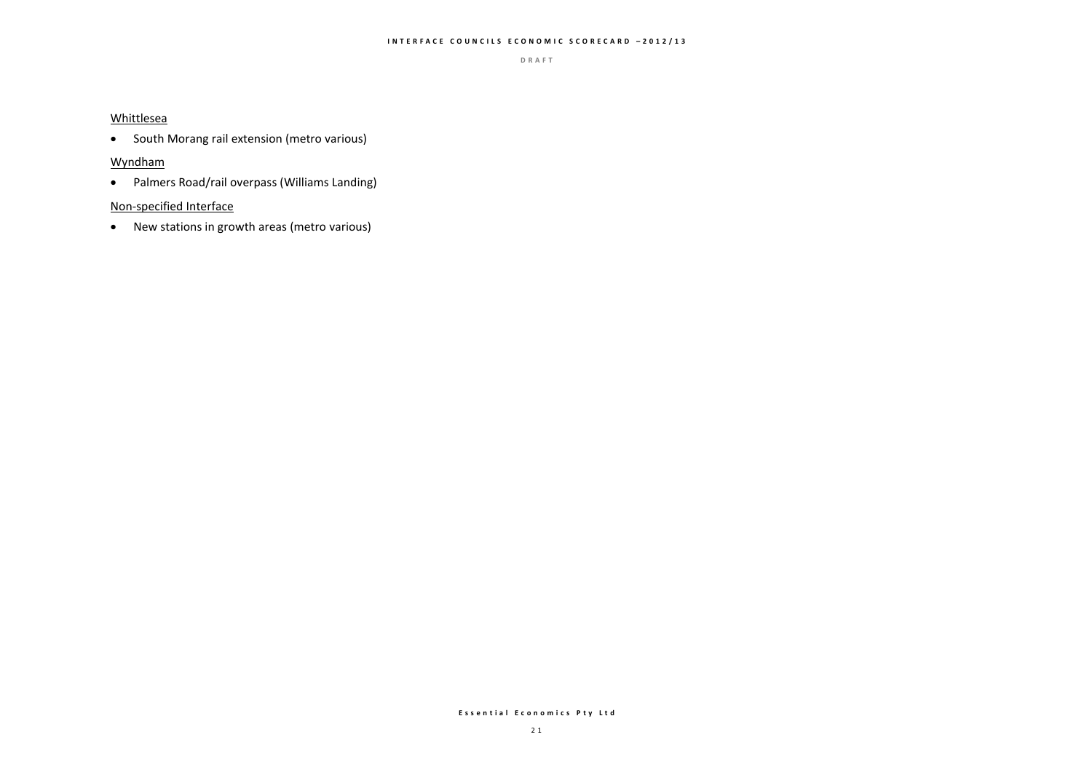#### **I N T E R F A C E C O U N C I L S E C O N O M I C S C O R E C A R D – 2 0 1 2 / 1 3**

**D R A F T**

#### Whittlesea

• South Morang rail extension (metro various)

### Wyndham

Palmers Road/rail overpass (Williams Landing)

#### Non-specified Interface

New stations in growth areas (metro various)

#### **E s s e n t i a l E c o n o m i c s P t y L t d**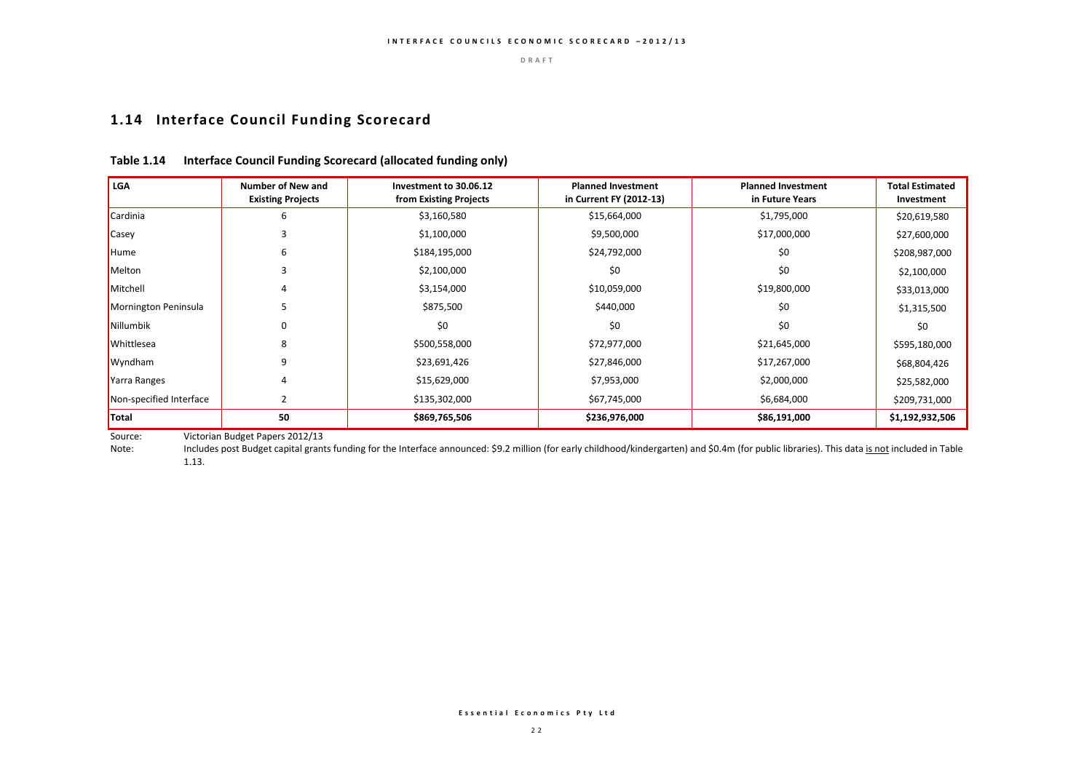# **1.14 Interface Council Funding Scorecard**

| l LGA                   | <b>Number of New and</b><br><b>Existing Projects</b> | Investment to 30.06.12<br>from Existing Projects | <b>Planned Investment</b><br>in Current FY (2012-13) | <b>Planned Investment</b><br>in Future Years | <b>Total Estimated</b><br>Investment |
|-------------------------|------------------------------------------------------|--------------------------------------------------|------------------------------------------------------|----------------------------------------------|--------------------------------------|
| Cardinia                | 6                                                    | \$3,160,580                                      | \$15,664,000                                         | \$1,795,000                                  | \$20,619,580                         |
| Casey                   |                                                      | \$1,100,000                                      | \$9,500,000                                          | \$17,000,000                                 | \$27,600,000                         |
| Hume                    | 6                                                    | \$184,195,000                                    | \$24,792,000                                         | \$0                                          | \$208,987,000                        |
| Melton                  |                                                      | \$2,100,000                                      | \$0                                                  | \$0                                          | \$2,100,000                          |
| Mitchell                |                                                      | \$3,154,000                                      | \$10,059,000                                         | \$19,800,000                                 | \$33,013,000                         |
| Mornington Peninsula    |                                                      | \$875,500                                        | \$440,000                                            | \$0                                          | \$1,315,500                          |
| Nillumbik               |                                                      | \$0                                              | \$0                                                  | \$0                                          | \$0                                  |
| <b>Whittlesea</b>       | 8                                                    | \$500,558,000                                    | \$72,977,000                                         | \$21,645,000                                 | \$595,180,000                        |
| Wyndham                 | q                                                    | \$23,691,426                                     | \$27,846,000                                         | \$17,267,000                                 | \$68,804,426                         |
| Yarra Ranges            |                                                      | \$15,629,000                                     | \$7,953,000                                          | \$2,000,000                                  | \$25,582,000                         |
| Non-specified Interface |                                                      | \$135,302,000                                    | \$67,745,000                                         | \$6,684,000                                  | \$209,731,000                        |
| <b>Total</b>            | 50                                                   | \$869,765,506                                    | \$236,976,000                                        | \$86,191,000                                 | \$1,192,932,506                      |

### **Table 1.14 Interface Council Funding Scorecard (allocated funding only)**

Source: Victorian Budget Papers 2012/13<br>Note: Includes post Budget capital grant

Includes post Budget capital grants funding for the Interface announced: \$9.2 million (for early childhood/kindergarten) and \$0.4m (for public libraries). This data is not included in Table 1.13.